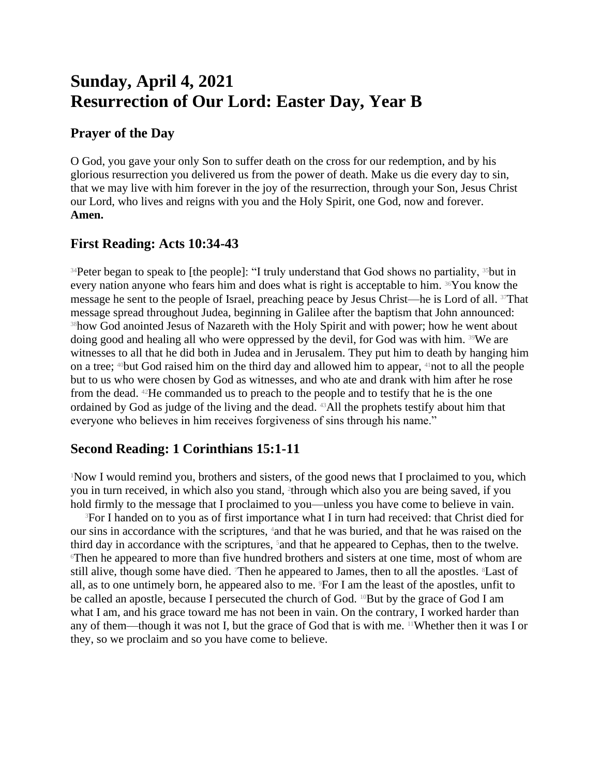# **Sunday, April 4, 2021 Resurrection of Our Lord: Easter Day, Year B**

#### **Prayer of the Day**

O God, you gave your only Son to suffer death on the cross for our redemption, and by his glorious resurrection you delivered us from the power of death. Make us die every day to sin, that we may live with him forever in the joy of the resurrection, through your Son, Jesus Christ our Lord, who lives and reigns with you and the Holy Spirit, one God, now and forever. **Amen.**

## **First Reading: Acts 10:34-43**

<sup>34</sup>Peter began to speak to [the people]: "I truly understand that God shows no partiality, <sup>35</sup>but in every nation anyone who fears him and does what is right is acceptable to him. 36You know the message he sent to the people of Israel, preaching peace by Jesus Christ—he is Lord of all. 37That message spread throughout Judea, beginning in Galilee after the baptism that John announced: <sup>38</sup>how God anointed Jesus of Nazareth with the Holy Spirit and with power; how he went about doing good and healing all who were oppressed by the devil, for God was with him. 39We are witnesses to all that he did both in Judea and in Jerusalem. They put him to death by hanging him on a tree; 40but God raised him on the third day and allowed him to appear, 41not to all the people but to us who were chosen by God as witnesses, and who ate and drank with him after he rose from the dead. 42He commanded us to preach to the people and to testify that he is the one ordained by God as judge of the living and the dead. 43All the prophets testify about him that everyone who believes in him receives forgiveness of sins through his name."

## **Second Reading: 1 Corinthians 15:1-11**

<sup>1</sup>Now I would remind you, brothers and sisters, of the good news that I proclaimed to you, which you in turn received, in which also you stand, <sup>2</sup> through which also you are being saved, if you hold firmly to the message that I proclaimed to you—unless you have come to believe in vain.

<sup>3</sup>For I handed on to you as of first importance what I in turn had received: that Christ died for our sins in accordance with the scriptures, 4and that he was buried, and that he was raised on the third day in accordance with the scriptures, <sup>5</sup> and that he appeared to Cephas, then to the twelve.  $\epsilon$ Then he appeared to more than five hundred brothers and sisters at one time, most of whom are still alive, though some have died. Then he appeared to James, then to all the apostles. <sup>8</sup>Last of all, as to one untimely born, he appeared also to me. 9For I am the least of the apostles, unfit to be called an apostle, because I persecuted the church of God. <sup>10</sup>But by the grace of God I am what I am, and his grace toward me has not been in vain. On the contrary, I worked harder than any of them—though it was not I, but the grace of God that is with me. 11Whether then it was I or they, so we proclaim and so you have come to believe.